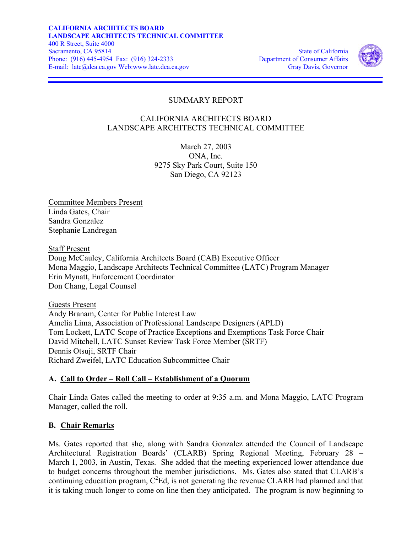

# SUMMARY REPORT

# CALIFORNIA ARCHITECTS BOARD LANDSCAPE ARCHITECTS TECHNICAL COMMITTEE

March 27, 2003 ONA, Inc. 9275 Sky Park Court, Suite 150 San Diego, CA 92123

Committee Members Present Linda Gates, Chair Sandra Gonzalez Stephanie Landregan

Staff Present

Doug McCauley, California Architects Board (CAB) Executive Officer Mona Maggio, Landscape Architects Technical Committee (LATC) Program Manager Erin Mynatt, Enforcement Coordinator Don Chang, Legal Counsel

Guests Present Andy Branam, Center for Public Interest Law Amelia Lima, Association of Professional Landscape Designers (APLD) Tom Lockett, LATC Scope of Practice Exceptions and Exemptions Task Force Chair David Mitchell, LATC Sunset Review Task Force Member (SRTF) Dennis Otsuji, SRTF Chair Richard Zweifel, LATC Education Subcommittee Chair

# **A. Call to Order – Roll Call – Establishment of a Quorum**

Chair Linda Gates called the meeting to order at 9:35 a.m. and Mona Maggio, LATC Program Manager, called the roll.

# **B. Chair Remarks**

Ms. Gates reported that she, along with Sandra Gonzalez attended the Council of Landscape Architectural Registration Boards' (CLARB) Spring Regional Meeting, February 28 – March 1, 2003, in Austin, Texas. She added that the meeting experienced lower attendance due to budget concerns throughout the member jurisdictions. Ms. Gates also stated that CLARB's continuing education program,  $C^2$ Ed, is not generating the revenue CLARB had planned and that it is taking much longer to come on line then they anticipated. The program is now beginning to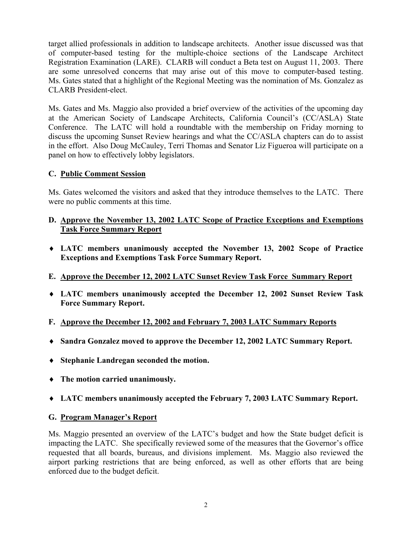target allied professionals in addition to landscape architects. Another issue discussed was that of computer-based testing for the multiple-choice sections of the Landscape Architect Registration Examination (LARE). CLARB will conduct a Beta test on August 11, 2003. There are some unresolved concerns that may arise out of this move to computer-based testing. Ms. Gates stated that a highlight of the Regional Meeting was the nomination of Ms. Gonzalez as CLARB President-elect.

Ms. Gates and Ms. Maggio also provided a brief overview of the activities of the upcoming day at the American Society of Landscape Architects, California Council's (CC/ASLA) State Conference. The LATC will hold a roundtable with the membership on Friday morning to discuss the upcoming Sunset Review hearings and what the CC/ASLA chapters can do to assist in the effort. Also Doug McCauley, Terri Thomas and Senator Liz Figueroa will participate on a panel on how to effectively lobby legislators.

# **C. Public Comment Session**

Ms. Gates welcomed the visitors and asked that they introduce themselves to the LATC. There were no public comments at this time.

# **D. Approve the November 13, 2002 LATC Scope of Practice Exceptions and Exemptions Task Force Summary Report**

- ♦ **LATC members unanimously accepted the November 13, 2002 Scope of Practice Exceptions and Exemptions Task Force Summary Report.**
- **E. Approve the December 12, 2002 LATC Sunset Review Task Force Summary Report**
- ♦ **LATC members unanimously accepted the December 12, 2002 Sunset Review Task Force Summary Report.**
- **F. Approve the December 12, 2002 and February 7, 2003 LATC Summary Reports**
- ♦ **Sandra Gonzalez moved to approve the December 12, 2002 LATC Summary Report.**
- ♦ **Stephanie Landregan seconded the motion.**
- ♦ **The motion carried unanimously.**
- ♦ **LATC members unanimously accepted the February 7, 2003 LATC Summary Report.**

# **G. Program Manager's Report**

Ms. Maggio presented an overview of the LATC's budget and how the State budget deficit is impacting the LATC. She specifically reviewed some of the measures that the Governor's office requested that all boards, bureaus, and divisions implement. Ms. Maggio also reviewed the airport parking restrictions that are being enforced, as well as other efforts that are being enforced due to the budget deficit.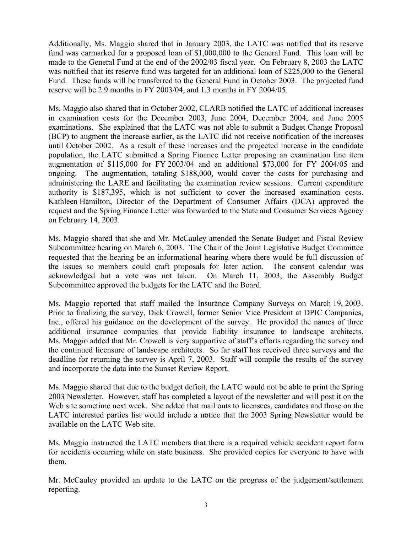Additionally, Ms. Maggio shared that in January 2003, the LATC was notified that its reserve fund was earmarked for a proposed loan of \$1,000,000 to the General Fund. This loan will be made to the General Fund at the end of the 2002/03 fiscal year. On February 8, 2003 the LATC was notified that its reserve fund was targeted for an additional loan of \$225,000 to the General Fund. These funds will be transferred to the General Fund in October 2003. The projected fund reserve will be 2.9 months in FY 2003/04, and 1.3 months in FY 2004/05.

authority is \$187,395, which is not sufficient to cover the increased examination costs. Ms. Maggio also shared that in October 2002, CLARB notified the LATC of additional increases in examination costs for the December 2003, June 2004, December 2004, and June 2005 examinations. She explained that the LATC was not able to submit a Budget Change Proposal (BCP) to augment the increase earlier, as the LATC did not receive notification of the increases until October 2002. As a result of these increases and the projected increase in the candidate population, the LATC submitted a Spring Finance Letter proposing an examination line item augmentation of \$115,000 for FY 2003/04 and an additional \$73,000 for FY 2004/05 and ongoing. The augmentation, totaling \$188,000, would cover the costs for purchasing and administering the LARE and facilitating the examination review sessions. Current expenditure Kathleen Hamilton, Director of the Department of Consumer Affairs (DCA) approved the request and the Spring Finance Letter was forwarded to the State and Consumer Services Agency on February 14, 2003.

Ms. Maggio shared that she and Mr. McCauley attended the Senate Budget and Fiscal Review Subcommittee hearing on March 6, 2003. The Chair of the Joint Legislative Budget Committee requested that the hearing be an informational hearing where there would be full discussion of the issues so members could craft proposals for later action. The consent calendar was acknowledged but a vote was not taken. On March 11, 2003, the Assembly Budget Subcommittee approved the budgets for the LATC and the Board.

additional insurance companies that provide liability insurance to landscape architects. the continued licensure of landscape architects. So far staff has received three surveys and the Ms. Maggio reported that staff mailed the Insurance Company Surveys on March 19, 2003. Prior to finalizing the survey, Dick Crowell, former Senior Vice President at DPIC Companies, Inc., offered his guidance on the development of the survey. He provided the names of three Ms. Maggio added that Mr. Crowell is very supportive of staff's efforts regarding the survey and deadline for returning the survey is April 7, 2003. Staff will compile the results of the survey and incorporate the data into the Sunset Review Report.

Ms. Maggio shared that due to the budget deficit, the LATC would not be able to print the Spring 2003 Newsletter. However, staff has completed a layout of the newsletter and will post it on the Web site sometime next week. She added that mail outs to licensees, candidates and those on the LATC interested parties list would include a notice that the 2003 Spring Newsletter would be available on the LATC Web site.

Ms. Maggio instructed the LATC members that there is a required vehicle accident report form for accidents occurring while on state business. She provided copies for everyone to have with them.

Mr. McCauley provided an update to the LATC on the progress of the judgement/settlement reporting.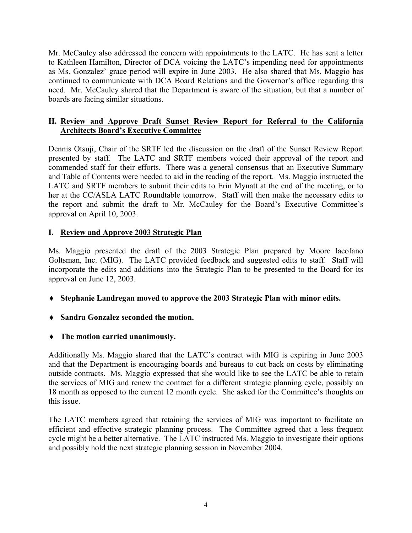Mr. McCauley also addressed the concern with appointments to the LATC. He has sent a letter to Kathleen Hamilton, Director of DCA voicing the LATC's impending need for appointments as Ms. Gonzalez' grace period will expire in June 2003. He also shared that Ms. Maggio has continued to communicate with DCA Board Relations and the Governor's office regarding this need. Mr. McCauley shared that the Department is aware of the situation, but that a number of boards are facing similar situations.

# **H. Review and Approve Draft Sunset Review Report for Referral to the California Architects Board's Executive Committee**

Dennis Otsuji, Chair of the SRTF led the discussion on the draft of the Sunset Review Report presented by staff. The LATC and SRTF members voiced their approval of the report and commended staff for their efforts. There was a general consensus that an Executive Summary and Table of Contents were needed to aid in the reading of the report. Ms. Maggio instructed the LATC and SRTF members to submit their edits to Erin Mynatt at the end of the meeting, or to her at the CC/ASLA LATC Roundtable tomorrow. Staff will then make the necessary edits to the report and submit the draft to Mr. McCauley for the Board's Executive Committee's approval on April 10, 2003.

# **I. Review and Approve 2003 Strategic Plan**

Ms. Maggio presented the draft of the 2003 Strategic Plan prepared by Moore Iacofano Goltsman, Inc. (MIG). The LATC provided feedback and suggested edits to staff. Staff will incorporate the edits and additions into the Strategic Plan to be presented to the Board for its approval on June 12, 2003.

- ♦ **Stephanie Landregan moved to approve the 2003 Strategic Plan with minor edits.**
- ♦ **Sandra Gonzalez seconded the motion.**
- ♦ **The motion carried unanimously.**

Additionally Ms. Maggio shared that the LATC's contract with MIG is expiring in June 2003 and that the Department is encouraging boards and bureaus to cut back on costs by eliminating outside contracts. Ms. Maggio expressed that she would like to see the LATC be able to retain the services of MIG and renew the contract for a different strategic planning cycle, possibly an 18 month as opposed to the current 12 month cycle. She asked for the Committee's thoughts on this issue.

The LATC members agreed that retaining the services of MIG was important to facilitate an efficient and effective strategic planning process. The Committee agreed that a less frequent cycle might be a better alternative. The LATC instructed Ms. Maggio to investigate their options and possibly hold the next strategic planning session in November 2004.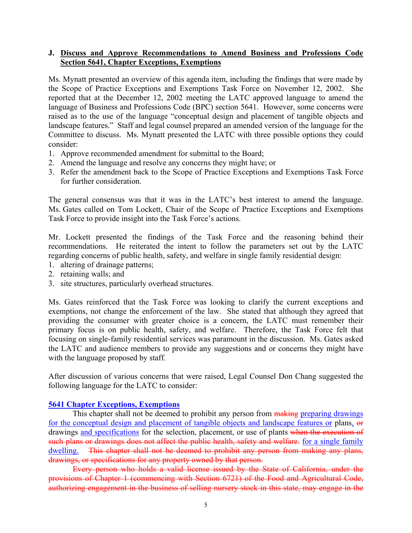### **J. Discuss and Approve Recommendations to Amend Business and Professions Code Section 5641, Chapter Exceptions, Exemptions**

Ms. Mynatt presented an overview of this agenda item, including the findings that were made by the Scope of Practice Exceptions and Exemptions Task Force on November 12, 2002. She reported that at the December 12, 2002 meeting the LATC approved language to amend the language of Business and Professions Code (BPC) section 5641. However, some concerns were raised as to the use of the language "conceptual design and placement of tangible objects and landscape features." Staff and legal counsel prepared an amended version of the language for the Committee to discuss. Ms. Mynatt presented the LATC with three possible options they could consider:

- 1. Approve recommended amendment for submittal to the Board;
- 2. Amend the language and resolve any concerns they might have; or
- 3. Refer the amendment back to the Scope of Practice Exceptions and Exemptions Task Force for further consideration.

The general consensus was that it was in the LATC's best interest to amend the language. Ms. Gates called on Tom Lockett, Chair of the Scope of Practice Exceptions and Exemptions Task Force to provide insight into the Task Force's actions.

Mr. Lockett presented the findings of the Task Force and the reasoning behind their recommendations. He reiterated the intent to follow the parameters set out by the LATC regarding concerns of public health, safety, and welfare in single family residential design:

- 1. altering of drainage patterns;
- 2. retaining walls; and
- 3. site structures, particularly overhead structures.

Ms. Gates reinforced that the Task Force was looking to clarify the current exceptions and exemptions, not change the enforcement of the law. She stated that although they agreed that providing the consumer with greater choice is a concern, the LATC must remember their primary focus is on public health, safety, and welfare. Therefore, the Task Force felt that focusing on single-family residential services was paramount in the discussion. Ms. Gates asked the LATC and audience members to provide any suggestions and or concerns they might have with the language proposed by staff.

After discussion of various concerns that were raised, Legal Counsel Don Chang suggested the following language for the LATC to consider:

#### **5641 Chapter Exceptions, Exemptions**

dwelling. This chapter shall not be deemed to prohibit any person from making any plans, This chapter shall not be deemed to prohibit any person from making preparing drawings for the conceptual design and placement of tangible objects and landscape features or plans, or drawings and specifications for the selection, placement, or use of plants when the execution of such plans or drawings does not affect the public health, safety and welfare. for a single family drawings, or specifications for any property owned by that person.

Every person who holds a valid license issued by the State of California, under the provisions of Chapter 1 (commencing with Section 6721) of the Food and Agricultural Code, authorizing engagement in the business of selling nursery stock in this state, may engage in the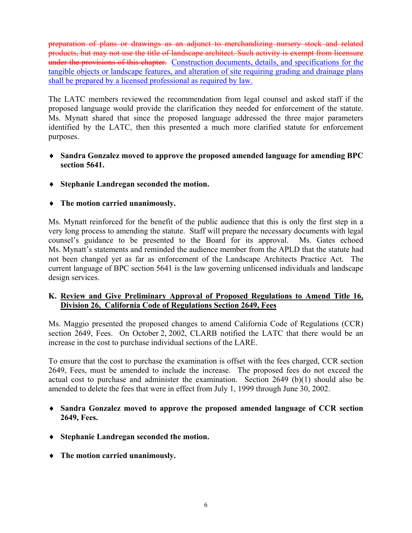under the provisions of this chapter. Construction documents, details, and specifications for the preparation of plans or drawings as an adjunct to merchandizing nursery stock and related products, but may not use the title of landscape architect. Such activity is exempt from licensure tangible objects or landscape features, and alteration of site requiring grading and drainage plans shall be prepared by a licensed professional as required by law.

The LATC members reviewed the recommendation from legal counsel and asked staff if the proposed language would provide the clarification they needed for enforcement of the statute. Ms. Mynatt shared that since the proposed language addressed the three major parameters identified by the LATC, then this presented a much more clarified statute for enforcement purposes.

- ♦ **Sandra Gonzalez moved to approve the proposed amended language for amending BPC section 5641.**
- ♦ **Stephanie Landregan seconded the motion.**
- ♦ **The motion carried unanimously.**

Ms. Mynatt reinforced for the benefit of the public audience that this is only the first step in a very long process to amending the statute. Staff will prepare the necessary documents with legal counsel's guidance to be presented to the Board for its approval. Ms. Gates echoed Ms. Mynatt's statements and reminded the audience member from the APLD that the statute had not been changed yet as far as enforcement of the Landscape Architects Practice Act. The current language of BPC section 5641 is the law governing unlicensed individuals and landscape design services.

# **K. Review and Give Preliminary Approval of Proposed Regulations to Amend Title 16, Division 26, California Code of Regulations Section 2649, Fees**

Ms. Maggio presented the proposed changes to amend California Code of Regulations (CCR) section 2649, Fees. On October 2, 2002, CLARB notified the LATC that there would be an increase in the cost to purchase individual sections of the LARE.

To ensure that the cost to purchase the examination is offset with the fees charged, CCR section 2649, Fees, must be amended to include the increase. The proposed fees do not exceed the actual cost to purchase and administer the examination. Section 2649 (b)(1) should also be amended to delete the fees that were in effect from July 1, 1999 through June 30, 2002.

- ♦ **Sandra Gonzalez moved to approve the proposed amended language of CCR section 2649, Fees.**
- ♦ **Stephanie Landregan seconded the motion.**
- ♦ **The motion carried unanimously.**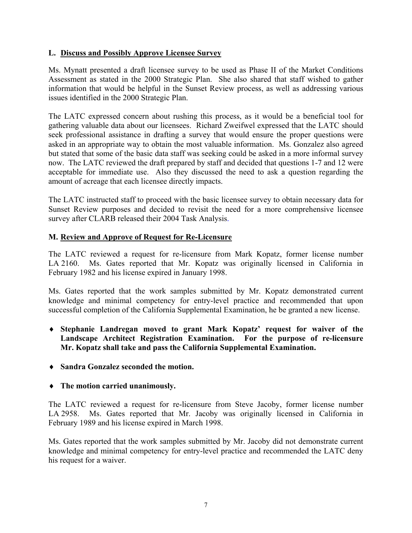### **L. Discuss and Possibly Approve Licensee Survey**

Ms. Mynatt presented a draft licensee survey to be used as Phase II of the Market Conditions Assessment as stated in the 2000 Strategic Plan. She also shared that staff wished to gather information that would be helpful in the Sunset Review process, as well as addressing various issues identified in the 2000 Strategic Plan.

The LATC expressed concern about rushing this process, as it would be a beneficial tool for gathering valuable data about our licensees. Richard Zweifwel expressed that the LATC should seek professional assistance in drafting a survey that would ensure the proper questions were asked in an appropriate way to obtain the most valuable information. Ms. Gonzalez also agreed but stated that some of the basic data staff was seeking could be asked in a more informal survey now. The LATC reviewed the draft prepared by staff and decided that questions 1-7 and 12 were acceptable for immediate use. Also they discussed the need to ask a question regarding the amount of acreage that each licensee directly impacts.

The LATC instructed staff to proceed with the basic licensee survey to obtain necessary data for Sunset Review purposes and decided to revisit the need for a more comprehensive licensee survey after CLARB released their 2004 Task Analysis.

### **M. Review and Approve of Request for Re-Licensure**

The LATC reviewed a request for re-licensure from Mark Kopatz, former license number LA 2160. Ms. Gates reported that Mr. Kopatz was originally licensed in California in February 1982 and his license expired in January 1998.

Ms. Gates reported that the work samples submitted by Mr. Kopatz demonstrated current knowledge and minimal competency for entry-level practice and recommended that upon successful completion of the California Supplemental Examination, he be granted a new license.

- ♦ **Stephanie Landregan moved to grant Mark Kopatz' request for waiver of the Landscape Architect Registration Examination. For the purpose of re-licensure Mr. Kopatz shall take and pass the California Supplemental Examination.**
- ♦ **Sandra Gonzalez seconded the motion.**

# ♦ **The motion carried unanimously.**

The LATC reviewed a request for re-licensure from Steve Jacoby, former license number LA 2958. Ms. Gates reported that Mr. Jacoby was originally licensed in California in February 1989 and his license expired in March 1998.

Ms. Gates reported that the work samples submitted by Mr. Jacoby did not demonstrate current knowledge and minimal competency for entry-level practice and recommended the LATC deny his request for a waiver.